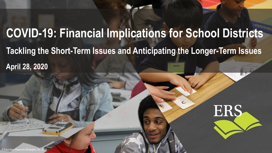# **COVID-19: Financial Implications for School Districts Tackling the Short-Term Issues and Anticipating the Longer-Term Issues April 28, 2020**



 $\epsilon$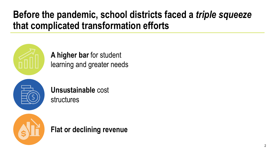### **Before the pandemic, school districts faced a** *triple squeeze*  **that complicated transformation efforts**



**A higher bar** for student learning and greater needs



**Unsustainable** cost structures



**Flat or declining revenue**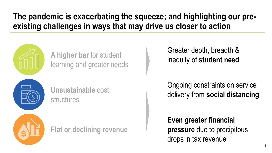#### **The pandemic is exacerbating the squeeze; and highlighting our preexisting challenges in ways that may drive us closer to action**



**A higher bar** for student learning and greater needs



**Unsustainable** cost structures

**Flat or declining revenue**

Greater depth, breadth & inequity of **student need**

Ongoing constraints on service delivery from **social distancing**

**Even greater financial pressure** due to precipitous drops in tax revenue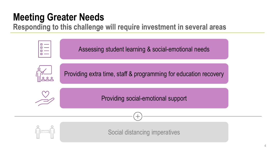## **Meeting Greater Needs**

**Responding to this challenge will require investment in several areas**

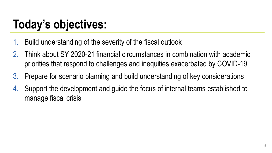# **Today's objectives:**

- 1. Build understanding of the severity of the fiscal outlook
- 2. Think about SY 2020-21 financial circumstances in combination with academic priorities that respond to challenges and inequities exacerbated by COVID-19
- 3. Prepare for scenario planning and build understanding of key considerations
- 4. Support the development and guide the focus of internal teams established to manage fiscal crisis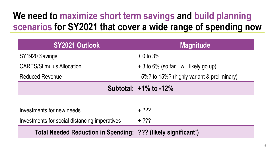### **We need to maximize short term savings and build planning scenarios for SY2021 that cover a wide range of spending now**

| <b>SY2021 Outlook</b>                                          | <b>Magnitude</b>                             |
|----------------------------------------------------------------|----------------------------------------------|
| SY1920 Savings                                                 | $+0$ to 3%                                   |
| <b>CARES/Stimulus Allocation</b>                               | + 3 to 6% (so farwill likely go up)          |
| <b>Reduced Revenue</b>                                         | - 5%? to 15%? (highly variant & preliminary) |
|                                                                | Subtotal: $+1\%$ to $-12\%$                  |
|                                                                |                                              |
| Investments for new needs                                      | $+ 222$                                      |
| Investments for social distancing imperatives                  | $+ 222$                                      |
| Total Needed Reduction in Spending: (??? (likely significant!) |                                              |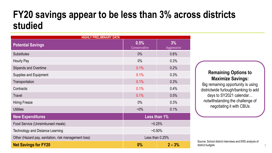#### **FY20 savings appear to be less than 3% across districts studied**

| <b>HIGHLY PRELIMINARY DATA</b>                       |                             |                         |  |
|------------------------------------------------------|-----------------------------|-------------------------|--|
| <b>Potential Savings</b>                             | 0.5%<br><b>Conservative</b> | 3%<br><b>Aggressive</b> |  |
| <b>Substitutes</b>                                   | $0\%$                       | 0.6%                    |  |
| Hourly Pay                                           | $0\%$                       | 0.3%                    |  |
| <b>Stipends and Overtime</b>                         | 0.1%                        | 0.2%                    |  |
| <b>Supplies and Equipment</b>                        | 0.1%                        | 0.3%                    |  |
| Transportation                                       | 0.1%                        | 0.3%                    |  |
| Contracts:                                           | 0.1%                        | 0.4%                    |  |
| <b>Travel</b>                                        | 0.1%                        | 0.5%                    |  |
| <b>Hiring Freeze</b>                                 | $0\%$                       | 0.3%                    |  |
| <b>Utilities</b>                                     | $-0\%$                      | 0.1%                    |  |
| <b>New Expenditures</b>                              |                             | Less than 1%            |  |
| Food Service (Unreimbursed meals)                    | $-0.25%$                    |                         |  |
| <b>Technology and Distance Learning</b>              | $-0.50%$                    |                         |  |
| Other (Hazard pay, sanitation, risk management loss) | Less than 0.25%             |                         |  |
| <b>Net Savings for FY20</b>                          | 0%                          | $2 - 3%$                |  |

#### **Remaining Options to Maximize Savings:**

Big remaining opportunity is using districtwide furlough/banking to add days to SY2021 calendar… notwithstanding the challenge of negotiating it with CBUs

Source: School district interviews and ERS analysis of district budgets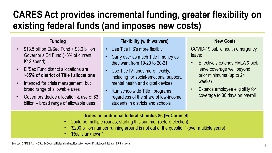### **CARES Act provides incremental funding, greater flexibility on existing federal funds (and imposes new costs)**

#### **Funding**

- \$13.5 billion El/Sec Fund + \$3.0 billion Governor's Ed Fund (~3% of current K12 spend)
- El/Sec Fund district allocations are **~85% of district of Title I allocations**
- Intended for crisis management, but broad range of allowable uses
- Governors decide allocation & use of \$3 billion – broad range of allowable uses

#### **Flexibility (with waivers)**

- Use Title II \$'s more flexibly
- Carry over as much Title I money as they want from 19-20 to 20-21
- Use Title IV funds more flexibly, including for social-emotional support, mental health and digital devices
- Run schoolwide Title I programs regardless of the share of low-income students in districts and schools

#### **New Costs**

COVID-19 public health emergency leave:

- Effectively extends FMLA & sick leave coverage well beyond prior minimums (up to 24 weeks)
- Extends employee eligibility for coverage to 30 days on payroll

#### **Notes on additional federal stimulus \$s [EdCounsel]:**

- Could be multiple rounds, starting this summer (before election)
- "\$200 billion number running around is not out of the question" (over multiple years)
- "Really unknown"

Sources: CARES Act, NCSL, EdCounsel/Nelson Mullins, Education Week, District Administrator, ERS analysis.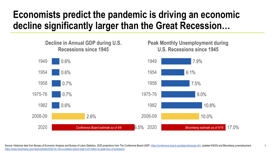### **Economists predict the pandemic is driving an economic decline significantly larger than the Great Recession…**



Source: Historical data from Bureau of Economic Analysis and Bureau of Labor Statistics. 2020 projections from The Conference Board (GDP, [https://conference-board.org/data/usforecast.cfm,](https://conference-board.org/data/usforecast.cfm) updated 4/9/20) and Bloomberg (une [https://www.bloomberg.com/news/articles/2020-04-16/u-s-jobless-claims-total-5-25-million-in-week-four-of-lockdown\)](https://www.bloomberg.com/news/articles/2020-04-16/u-s-jobless-claims-total-5-25-million-in-week-four-of-lockdown).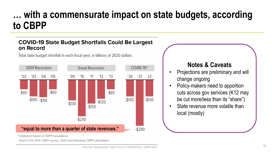### **… with a commensurate impact on state budgets, according to CBPP**

#### **COVID-19 State Budget Shortfalls Could Be Largest** on Record

Total state budget shortfall in each fiscal year, in billions of 2020 dollars



#### **Notes & Caveats**

- Projections are preliminary and will change ongoing
- Policy-makers need to apportion cuts across gov services (K12 may be cut more/less than its "share")
- State revenue more volatile than local (mostly)

\* Estimated based on CBPP calculations

Source: Pre 2014: CBPP survey; 2020 and following: CBPP calculations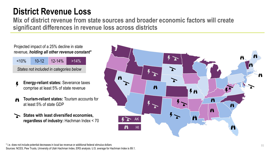#### **District Revenue Loss**

**Mix of district revenue from state sources and broader economic factors will create significant differences in revenue loss across districts**

Projected impact of a 25% decline in state revenue, *holding all other revenue constant\**

| $< 10\%$                                | $10-12$ | $12 - 14%$ | $>14\%$ |  |
|-----------------------------------------|---------|------------|---------|--|
| States not included in categories below |         |            |         |  |

- **Energy-reliant states:** Severance taxes Ļ comprise at least 5% of state revenue
- **Tourism-reliant states:** Tourism accounts for Ë at least 5% of state GDP
- **States with least diversified economies, regardless of industry:** Hachman Index < 70

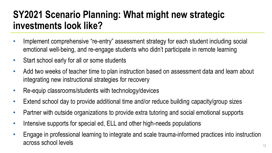### **SY2021 Scenario Planning: What might new strategic investments look like?**

- Implement comprehensive "re-entry" assessment strategy for each student including social emotional well-being, and re-engage students who didn't participate in remote learning
- Start school early for all or some students
- Add two weeks of teacher time to plan instruction based on assessment data and learn about integrating new instructional strategies for recovery
- Re-equip classrooms/students with technology/devices
- Extend school day to provide additional time and/or reduce building capacity/group sizes
- Partner with outside organizations to provide extra tutoring and social emotional supports
- Intensive supports for special ed, ELL and other high-needs populations
- Engage in professional learning to integrate and scale trauma-informed practices into instruction across school levels across school levels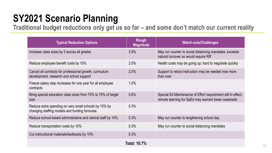### **SY2021 Scenario Planning**

Traditional budget reductions only get us so far - and some don't match our current reality

| <b>Typical Reduction Options</b>                                                                       | Rough<br><b>Magnitude</b> | <b>Watch-outs/Challenges</b>                                                                                          |  |  |
|--------------------------------------------------------------------------------------------------------|---------------------------|-----------------------------------------------------------------------------------------------------------------------|--|--|
| Increase class sizes by 3 across all grades                                                            | 3.9%                      | May run counter to social distancing mandates; exceeds<br>natural turnover so would require RIF                       |  |  |
| Reduce employee benefit costs by 10%                                                                   | 2.0%                      | Health costs may be going up; hard to negotiate quickly                                                               |  |  |
| Cancel all contracts for professional growth, curriculum<br>development, research and school support   | 2.0%                      | Support to retool instruction may be needed now more<br>than over                                                     |  |  |
| Freeze salary step increases for one year for all employee<br>contracts                                | 1.0%                      |                                                                                                                       |  |  |
| Bring special education class sizes from 70% to 75% of target<br>size                                  | 0.6%                      | Special Ed Maintenance of Effort requirement still in effect;<br>remote learning for SpEd may warrant lower caseloads |  |  |
| Reduce extra spending on very small schools by 10% by<br>changing staffing models and funding formulas | 0.3%                      |                                                                                                                       |  |  |
| Reduce school-based administrative and clerical staff by 10%                                           | 0.3%                      | May run counter to lengthening school day                                                                             |  |  |
| Reduce transportation costs by 10%                                                                     | 0.3%                      | May run counter to social distancing mandates                                                                         |  |  |
| Cut instructional materials/textbooks by 10%                                                           | 0.3%                      |                                                                                                                       |  |  |
| <b>Total: 10.7%</b>                                                                                    |                           |                                                                                                                       |  |  |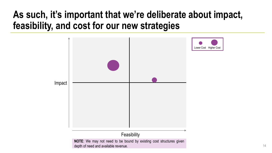### **As such, it's important that we're deliberate about impact, feasibility, and cost for our new strategies**

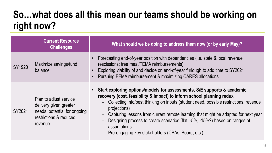### **So…what does all this mean our teams should be working on right now?**

|               | <b>Current Resource</b><br><b>Challenges</b>                                                                          | What should we be doing to address them now (or by early May)?                                                                                                                                                                                                                                                                                                                                                                                                                                          |
|---------------|-----------------------------------------------------------------------------------------------------------------------|---------------------------------------------------------------------------------------------------------------------------------------------------------------------------------------------------------------------------------------------------------------------------------------------------------------------------------------------------------------------------------------------------------------------------------------------------------------------------------------------------------|
| <b>SY1920</b> | Maximize savings/fund<br>balance                                                                                      | Forecasting end-of-year position with dependencies (i.e. state & local revenue<br>rescissions; free meal/FEMA reimbursements)<br>Exploring viability of and decide on end-of-year furlough to add time to SY2021<br>Pursuing FEMA reimbursement & maximizing CARES allocations                                                                                                                                                                                                                          |
| SY2021        | Plan to adjust service<br>delivery given greater<br>needs, potential for ongoing<br>restrictions & reduced<br>revenue | Start exploring options/models for assessments, S/E supports & academic<br>recovery (cost, feasibility & impact) to inform school planning redux<br>Collecting info/best thinking on inputs (student need, possible restrictions, revenue<br>projections)<br>Capturing lessons from current remote learning that might be adapted for next year<br>Designing process to create scenarios (flat, -5%, -15%?) based on ranges of<br>assumptions<br>$\Gamma$ us spanning key steksholdere (CDAs Desud ste) |

– Pre-engaging key stakeholders (CBAs, Board, etc.)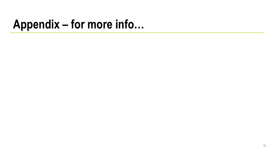## **Appendix – for more info…**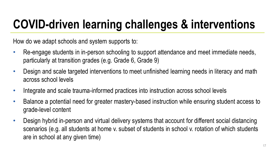# **COVID-driven learning challenges & interventions**

How do we adapt schools and system supports to:

- Re-engage students in in-person schooling to support attendance and meet immediate needs, particularly at transition grades (e.g. Grade 6, Grade 9)
- Design and scale targeted interventions to meet unfinished learning needs in literacy and math across school levels
- Integrate and scale trauma-informed practices into instruction across school levels
- Balance a potential need for greater mastery-based instruction while ensuring student access to grade-level content
- Design hybrid in-person and virtual delivery systems that account for different social distancing scenarios (e.g. all students at home v. subset of students in school v. rotation of which students are in school at any given time)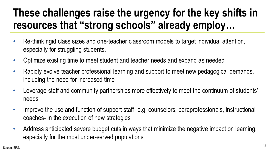## **These challenges raise the urgency for the key shifts in resources that "strong schools" already employ…**

- Re-think rigid class sizes and one-teacher classroom models to target individual attention, especially for struggling students.
- Optimize existing time to meet student and teacher needs and expand as needed
- Rapidly evolve teacher professional learning and support to meet new pedagogical demands, including the need for increased time
- Leverage staff and community partnerships more effectively to meet the continuum of students' needs
- Improve the use and function of support staff- e.g. counselors, paraprofessionals, instructional coaches- in the execution of new strategies
- Address anticipated severe budget cuts in ways that minimize the negative impact on learning, especially for the most under-served populations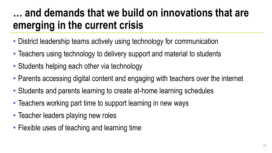## **… and demands that we build on innovations that are emerging in the current crisis**

- District leadership teams actively using technology for communication
- Teachers using technology to delivery support and material to students
- Students helping each other via technology
- Parents accessing digital content and engaging with teachers over the internet
- Students and parents learning to create at-home learning schedules
- Teachers working part time to support learning in new ways
- Teacher leaders playing new roles
- Flexible uses of teaching and learning time